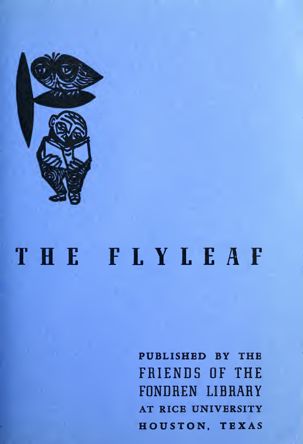

# THE FLYIEAF

PUBLISHED BY THE FRIENDS DF THE FDNDREN LIBRARY AT RICE UNIVERSITY HOUSTON. TEXAS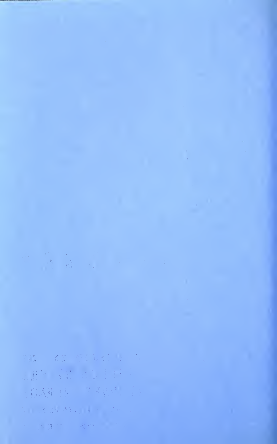

"都不跟他那一些手的吧。" 1. 机光谱染染料 (1) 4 分 (1) 9 分

( 前翼第一条的第一件)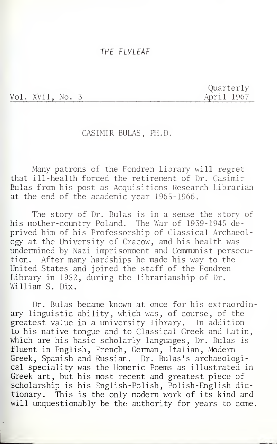### THE FIVIFAF

|                  |  | Quarterly  |
|------------------|--|------------|
| Vol. XVII, No. 3 |  | April 1967 |
|                  |  |            |

### CASIMIR BULAS, PH.D,

Many patrons of the Fondren Library will regret that ill -health forced the retirement of Dr. Casimir Bulas from his post as Acquisitions Research Librarian at the end of the academic year 1965-1966.

The story of Dr. Bulas is in a sense the story of his mother -country Poland. The War of 1939-1945 deprived him of his Professorship of Classical Archaeology at the University of Cracow, and his health was undermined by Nazi imprisonment and Communist persecution. After many hardships he made his way to the United States and joined the staff of the Fondren Library in 1952, during the librarianship of Dr. William S. Dix.

Dr. Bulas became known at once for his extraordinary linguistic ability, which was, of course, of the greatest value in a university library. In addition to his native tongue and to Classical Greek and Latin, which are his basic scholarly languages, Dr. Bulas is fluent in English, French, German, Italian, Modem Greek, Spanish and Russian. Dr. Bulas 's archaeological speciality was the Homeric Poems as illustrated in Greek art, but his most recent and greatest piece of scholarship is his English-Polish, Polish-English dictionary. This is the only modem work of its kind and will unquestionably be the authority for years to come.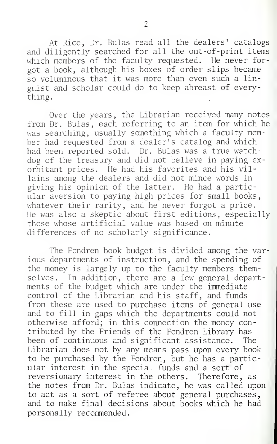At Rice, Dr. Bulas read all the dealers' catalogs and diligently searched for all the out-of-print items which members of the faculty requested. He never forgot a book, although his boxes of order slips became so voluminous that it was more than even such a linguist and scholar could do to keep abreast of everything.

Over the years, the Librarian received many notes from Dr. Bulas, each referring to an item for which he was searching, usually something which a faculty mem ber had requested from a dealer's catalog and which had been reported sold. Dr. Bulas was a true watchdog of the treasury and did not believe in paying ex orbitant prices. He had his favorites and his villains among the dealers and did not mince words in giving his opinion of the latter. He had a particular aversion to paying high prices for small books, whatever their rarity, and he never forgot a price. He was also a skeptic about first editions, especially those whose artificial value was based on minute differences of no scholarly significance.

The Fondren book budget is divided among the various departments of instruction, and the spending of the money is largely up to the faculty members themselves. In addition, there are a few general departments of the budget which are under the immediate control of the Librarian and his staff, and funds from these are used to purchase items of general use and to fill in gaps which the departments could not otherwise afford; in this connection the money con tributed by the Friends of the Fondren Library has been of continuous and significant assistance. The Librarian does not by any means pass upon every book to be purchased by the Fondren, but he has a particular interest in the special funds and a sort of reversionary interest in the others. Therefore, as the notes from Dr. Bulas indicate, he was called upon to act as a sort of referee about general purchases and to make final decisions about books which he had personally recommended.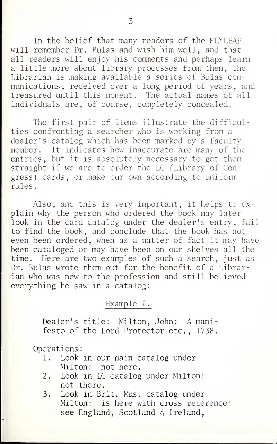In the belief that many readers of the FLYLEAF will remember Dr. Bulas and wish him well, and that all readers will enjoy his comments and perhaps leam a little more about library processes from them, the Librarian is making available a series of Bulas com munications , received over a long period of years , and treasured until this moment. The actual names of all individuals are, of course, completely concealed.

The first pair of items illustrate the difficulties confronting a searcher who is working from a dealer's catalog which has been marked by a faculty member. It indicates how inaccurate are many of the entries, but it is absolutely necessary to get them straight if we are to order the LC (Library of Congress) cards, or make our own according to uniform rules.

Also, and this is very important, it helps to ex plain why the person who ordered the book may later look in the card catalog under the dealer's entry, fail to find the book, and conclude that the book has not even been ordered, when as a matter of fact it may have been cataloged or may have been on our shelves all the time. Here are two examples of such a search, just as Dr. Bulas wrote them out for the benefit of a Librarian who was new to the profession and still believed everything he saw in a catalog:

### Example I.

Dealer's title: Milton, John: A manifesto of the Lord Protector etc., 1738.

Operations

- 1. Look in our main catalog under Milton: not here.
- 2. Look in LC catalog under Milton: not there.
- 3. Look in Brit. Mus. catalog under Milton: is here with cross reference: see England, Scotland & Ireland,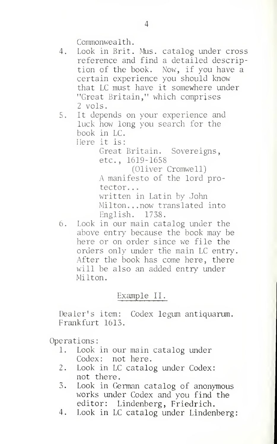Commonwealth.

- 4. Look in Brit. Mus. catalog under cross reference and find a detailed description of the book. Now, if you have a certain experience you should know that LC must have it somewhere under "Great Britain," which comprises 2 vols.
- 5. It depends on your experience and luck how long you search for the book in LC.

Here it is:

Great Britain. Sovereigns, etc., 1619-1658 (Oliver Cromwell) A manifesto of the lord pro-

tector. . written in Latin by John

Milton... now translated into English. 1738.

6. Look in our main catalog under the above entry because the book may be here or on order since we file the orders only under the main LC entry. After the book has come here, there will be also an added entry under Milton.

# Example II.

Dealer's item: Codex legum antiquarum. Frankfurt 1613.

Operations:

- 1. Look in our main catalog under Codex: not here.
- 2. Look in LC catalog under Codex: not there.
- 3. Look in German catalog of anonymous works under Codex and you find the editor: Lindenberg, Friedrich.
- 4. Look in LC catalog under Lindenberg: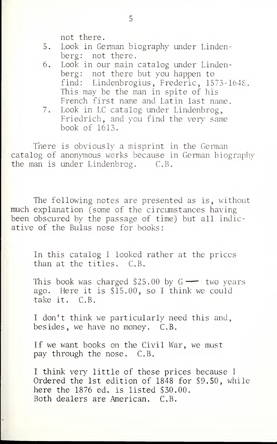not there.

- 5. Look in German biography under Lindenberg: not there.
- 6. Look in our main catalog under Lindenberg: not there but you happen to find: Lindenbrogius, Frederic, 1575-1648. This may be the man in spite of his French first name and Latin last name.
- 7. Look in LC catalog under Lindenbrog, Friedrich, and you find the very same book of 1613.

There is obviously a misprint in the German catalog of anonymous works because in German biography the man is under Lindenbrog. C.B.

The following notes are presented as is, without much explanation (some of the circumstances having been obscured by the passage of time) but all indicative of the Bulas nose for books:

In this catalog I looked rather at the prices than at the titles. C.B.

This book was charged  $$25.00$  by  $G \rightarrow$  two years ago. Here it is \$15.00, so <sup>I</sup> think we could take it. C.B.

<sup>I</sup> don't think we particularly need this and, besides, we have no money. C.B.

If we want books on the Civil War, we must pay through the nose. C.B.

<sup>I</sup> think very little of these prices because <sup>I</sup> Ordered the 1st edition of 1848 for \$9.50, while here the 1876 ed. is listed \$30.00. Both dealers are American. C.B.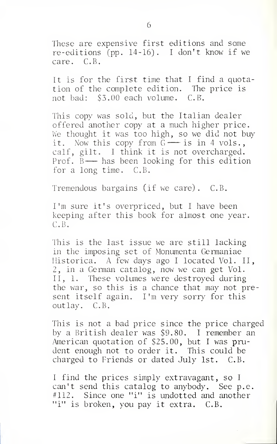These are expensive first editions and some re-editions (pp. 14-16). <sup>I</sup> don't know if we care. C.B.

It is for the first time that <sup>I</sup> find a quotation of the complete edition. The price is not bad: \$3.00 each volume. C.E.

This copy was sold, but the Italian dealer offered another copy at a much higher price. We thought it was too high, so we did not buy it. Now this copy from  $G \rightarrow$  is in 4 vols., calf, gilt. <sup>I</sup> think it is not overcharged. Prof.  $\breve{B}$  has been looking for this edition for a long time. C.B.

Tremendous bargains (if we care) . C.B.

I'm sure it's overpriced, but <sup>I</sup> have been keeping after this book for almost one year. C.B.

This is the last issue we are still lacking in the imposing set of Monumenta Germaniae Historica. A few days ago <sup>I</sup> located Vol. II, 2, in a German catalog, now we can get Vol. II, 1. These volumes were destroyed during the war, so this is a chance that may not present itself again. I'm very sorry for this outlay. C.B.

This is not a bad price since the price charged by a British dealer was \$9.80. <sup>I</sup> remember an American quotation of \$25.00, but <sup>I</sup> was prudent enough not to order it. This could be charged to Friends or dated July 1st. C.B.

<sup>I</sup> find the prices simply extravagant, so <sup>I</sup> can't send this catalog to anybody. See p.e. #112. Since one "i" is undotted and another "i" is broken, you pay it extra. C.B.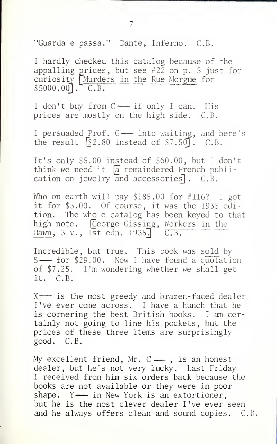"Guarda e passa." Dante, Inferno. C.B.

<sup>I</sup> hardly checked this catalog because of the appalling prices, but see  $#2\overline{2}$  on p. 5 just for curiosity PMurders in the Rue Morgue for  $$5000.00].$  C.B.

I don't buy from  $C \longrightarrow$  if only I can. His prices are mostly on the high side. C.B.

I persuaded Prof. G- into waiting, and here's the result  $\left[ \$2.80 \text{ instead of } $7.50 \right]$ . C.B.

It's only \$5.00 instead of \$60.00, but I don't think we need it  $\sqrt{a}$  remaindered French publication on jewelry and accessories] . C.B.

Who on earth will pay  $$185.00$  for  $#116$ ? I got it for \$3.00. Of course, it was the 1935 edition. The whole catalog has been keyed to that high note. [George Gissing, Workers in the Dawn, 3 v., 1st edn. 1935. C.B.

Incredible, but true. This book was sold by  $S \longrightarrow$  for \$29.00. Now I have found a quotation of \$7.25. I'm wondering whether we shall get it. C.B.

 $X \rightarrow$  is the most greedy and brazen-faced dealer I've ever come across. <sup>I</sup> have a hunch that he is cornering the best British books. <sup>I</sup> am cer tainly not going to line his pockets, but the prices of these three items are surprisingly good. C.B.

My excellent friend, Mr.  $C \longrightarrow$ , is an honest dealer, but he's not very lucky. Last Friday <sup>I</sup> received from him six orders back because the books are not available or they were in poor shape.  $Y \longrightarrow \text{ in } \mathbb{N}$  York is an extortioner, but he is the most clever dealer I've ever seen and he always offers clean and sound copies. C.B,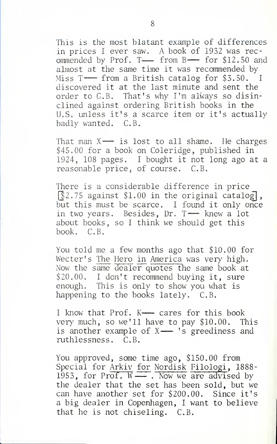This is the most blatant example of differences in prices I ever saw. A book of 1932 was rec-<br>ommended by Prof. T—— from B—— for \$12.50 and almost at the same time it was recommended by Miss  $T$  from a British catalog for \$3.50. I discovered it at the last minute and sent the order to G.B. That's why I'm always so disinclined against ordering British books in the U.S. unless it's a scarce item or it's actually badly wanted. C.B.

That man  $X \longrightarrow$  is lost to all shame. He charges \$45.00 for a book on Coleridge, published in 1924, 108 pages. <sup>I</sup> bought it not long ago at a reasonable price, of course. C.B.

There is a considerable difference in price  $\sqrt{\$2.75}$  against  $\$1.00$  in the original catalog], but this must be scarce. I found it only once in two years. Besides, Dr.  $T \rightarrow$  knew a lot about books , so <sup>I</sup> think we should get this book. C.B.

You told me a few months ago that \$10.00 for Wecter's The Hero in America was very high. Now the same dealer quotes the same book at \$20.00. <sup>I</sup> don't recommend buying it, sure enough. This is only to show you what is happening to the books lately. C.B.

I know that Prof. K- cares for this book very much, so we'll have to pay \$10.00. This is another example of  $X \rightarrow 's$  greediness and ruthlessness. C.B.

You approved, some time ago, \$150.00 from Special for Arkiv for Nordisk Filologi, 1888-1953, for Prof.  $W \longrightarrow$ . Now we are advised by the dealer that the set has been sold, but we can have another set for \$200.00. Since it's a big dealer in Copenhagen, I want to believe that he is not chiseling. C.B.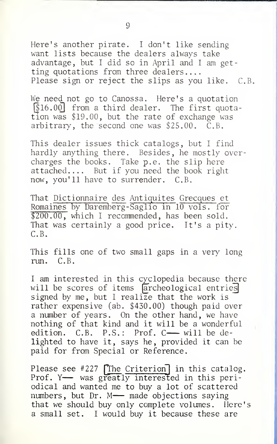Here's another pirate. <sup>I</sup> don't like sending want lists because the dealers always take advantage, but <sup>I</sup> did so in April and <sup>I</sup> am getting quotations from three dealers.... Please sign or reject the slips as you like. C.B,

We need not go to Canossa. Here's a quotation  $[$16.00]$  from a third dealer. The first quotation was \$19.00, but the rate of exchange was arbitrary, the second one was \$25.00. C.B.

This dealer issues thick catalogs, but I find hardly anything there. Besides, he mostly over charges the books. Take p.e. the slip here attached.... But if you need the book right now, you'll have to surrender. C.B.

That Dictionnaire des Antiquites Grecques et Romaines by Daremberg-Saglio in 10 vols, for \$200.00, which <sup>I</sup> recommended, has been sold. That was certainly a good price. It's a pity.  $C. B.$ 

This fills one of two small gaps in a very long run. C.B.

<sup>I</sup> am interested in this cyclopedia because there will be scores of items archeological entries signed by me, but <sup>I</sup> realize that the work is rather expensive (ab. \$430.00) though paid over a number of years. On the other hand, we have nothing of that kind and it will be a wonderful edition.  $C.B. P.S.: Prof. C \longrightarrow will be de$ lighted to have it, says he, provided it can be paid for from Special or Reference.

Please see #227  $\boxed{\text{The Criterion}}$  in this catalog. Prof. <sup>Y</sup>— was greatly interested in this periodical and wanted me to buy a lot of scattered numbers, but Dr. <sup>M</sup>— made objections saying that we should buy only complete volumes. Here's a small set. <sup>I</sup> would buy it because these are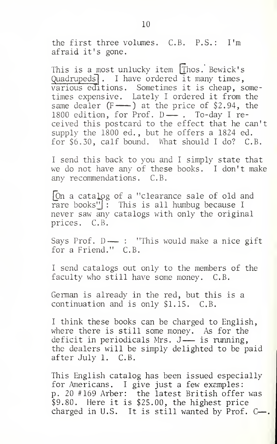the first three volumes. C.B. P.S.: I'm afraid it's gone.

This is a most unlucky item Thos. Bewick's Quadrupeds] . <sup>I</sup> have ordered it many times, various editions. Sometimes it is cheap, some times expensive. Lately <sup>I</sup> ordered it from the same dealer (F $\longrightarrow$  ) at the price of \$2.94, the 1800 edition, for Prof.  $D -$ . To-day I re-<br>ceived this postcard to the effect that he can't supply the 1800 ed. , but he offers a 1824 ed. for  $$6,30$ , calf bound. What should I do? C.B.

I send this back to you and I simply state that we do not have any of these books. <sup>I</sup> don't make any recommendations. C.B.

[On a catalog of a "clearance sale of old and rare books" $\left| \cdot \right|$ : This is all humbug because I never saw any catalogs with only the original prices. C.B.

Says Prof.  $D -$ : "This would make a nice gift for a Friend." C.B.

<sup>I</sup> send catalogs out only to the members of the faculty who still have some money. C.B.

German is already in the red, but this is a continuation and is only \$1.15. C.B.

<sup>I</sup> think these books can be charged to English, where there is still some money. As for the deficit in periodicals Mrs. J- is running, the dealers will be simply delighted to be paid after July 1. C.B.

This English catalog has been issued especially for Americans. <sup>I</sup> give just a few examples: p. 20 #169 Arber: the latest British offer was \$9.80. Here it is \$25.00, the highest price charged in U.S. It is still wanted by Prof.  $C \rightarrow$ .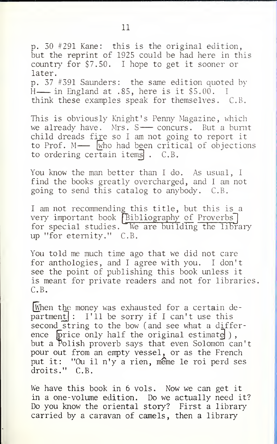p. 30 #291 Kane: this is the original edition, but the reprint of 1925 could be had here in this country for \$7.50. <sup>I</sup> hope to get it sooner or later. p. 37 #391 Saunders: the same edition quoted by  $\overline{H}$  in England at .85, here is it \$5.00. I think these examples speak for themselves. C.B.

This is obviously Knight's Penny Magazine, which we already have. Mrs.  $S \rightarrow$  concurs. But a burnt child dreads fire so <sup>I</sup> am not going to report it to Prof.  $M$ — who had been critical of objections to ordering certain items] . C.B.

You know the man better than <sup>I</sup> do. As usual, <sup>I</sup> find the books greatly overcharged, and I am not going to send this catalog to anybody. C.B.

<sup>I</sup> am not recommending this title, but this is a very important book |Bibliography of Proverbs| for special studies. We are building the library up "for eternity." C.B.

You told me much time ago that we did not care for anthologies, and I agree with you. I don't see the point of publishing this book unless it is meant for private readers and not for libraries. C.B.

|when the money was exhausted for a certain department] : I'll be sorry if <sup>I</sup> can't use this second string to the bow (and see what a difference  $\overline{pr}$ ice only half the original estimate). but a Polish proverb says that even Solomon can't pour out from an enpty vessel, or as the French put it: "Ou il n'y a rien, même le roi perd ses droits." C.B.

We have this book in 6 vols. Now we can get it in a one-volume edition. Do we actually need it? Do you know the oriental story? First a library carried by a caravan of camels, then a library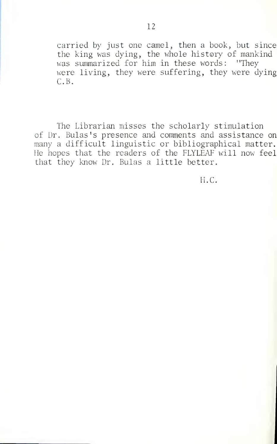carried by just one camel, then a book, but since the king was dying, the whole history of mankind was summarized for him in these words: "They were living, they were suffering, they were dying C.B.

The Librarian misses the scholarly stimulation of Dr. Bulas's presence and comments and assistance on many a difficult linguistic or bibliographical matter. He hopes that the readers of the FLYLEAF will now feel that they know Dr. Bulas a little better.

H.C.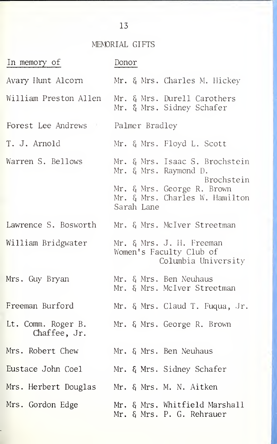# 13

# MBDRIAL GIFTS

| In memory of                       | Donor                                                                      |
|------------------------------------|----------------------------------------------------------------------------|
| Avary Hunt Alcorn                  | Mr. & Mrs. Charles M. Hickey                                               |
| William Preston Allen              | Mr. & Mrs. Durell Carothers<br>Mr. & Mrs. Sidney Schafer                   |
| Forest Lee Andrews                 | Palmer Bradley                                                             |
| T. J. Arnold                       | Mr. & Mrs. Floyd L. Scott                                                  |
| Warren S. Bellows                  | Mr. & Mrs. Isaac S. Brochstein<br>Mr. & Mrs. Raymond D.<br>Brochstein      |
|                                    | Mr. & Mrs. George R. Brown<br>Mr. & Mrs. Charles W. Hamilton<br>Sarah Lane |
|                                    | Lawrence S. Bosworth Mr. & Mrs. McIver Streetman                           |
| William Bridgwater                 | Mr. & Mrs. J. H. Freeman<br>Women's Faculty Club of<br>Columbia University |
| Mrs. Guy Bryan                     | Mr. & Mrs. Ben Neuhaus<br>Mr. & Mrs. McIver Streetman                      |
| Freeman Burford                    | Mr. & Mrs. Claud T. Fuqua, Jr.                                             |
| Lt. Comm. Roger B.<br>Chaffee, Jr. | Mr. & Mrs. George R. Brown                                                 |
| Mrs. Robert Chew                   | Mr. & Mrs. Ben Neuhaus                                                     |
| Eustace John Coel                  | Mr. & Mrs. Sidney Schafer                                                  |
|                                    | Mrs. Herbert Douglas Mr. & Mrs. M. N. Aitken                               |
| Mrs. Gordon Edge                   | Mr. & Mrs. Whitfield Marshall<br>Mr. & Mrs. P. G. Rehrauer                 |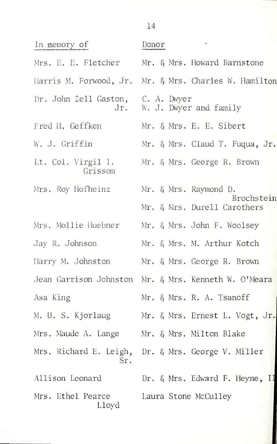|                                          | 14                                                    |
|------------------------------------------|-------------------------------------------------------|
| In memory of                             | $\sim 100$ km s $^{-1}$<br>Donor                      |
| Mrs. E. E. Fletcher                      | Mr. & Mrs. Howard Barnstone                           |
|                                          | Harris M. Forwood, Jr. Mr. & Mrs. Charles W. Hamilton |
| Dr. John Zell Gaston, C. A. Dwyer<br>Jr. | W. J. Dwyer and family                                |
| Fred H. Geffken                          | Mr. & Mrs. E. E. Sibert                               |
| W. J. Griffin                            | Mr. & Mrs. Claud T. Fuqua, Jr.                        |
| Lt. Col. Virgil I.<br>Grissom            | Mr. & Mrs. George R. Brown                            |
| Mrs. Roy Hofheinz                        | Mr. & Mrs. Raymond D.                                 |
|                                          | Brochstein<br>Mr. & Mrs. Durell Carothers             |
| Mrs. Mollie Huebner                      | Mr. & Mrs. John F. Woolsey                            |
| Jay R. Johnson                           | Mr. & Mrs. M. Arthur Kotch                            |
| Harry M. Johnston                        | Mr. & Mrs. George R. Brown                            |
|                                          | Jean Garrison Johnston Mr. & Mrs. Kenneth W. O'Meara  |
| Asa King                                 | Mr. & Mrs. R. A. Tsanoff                              |
| M. U. S. Kjorlaug                        | Mr. & Mrs. Ernest L. Vogt, Jr.                        |
|                                          | Mrs. Maude A. Lange Mr. & Mrs. Milton Blake           |
| Sr.                                      | Mrs. Richard E. Leigh, Dr. & Mrs. George V. Miller    |
| Allison Leonard                          | Dr. & Mrs. Edward F. Heyne, II                        |
| Mrs. Ethel Pearce<br>Lloyd               | Laura Stone McCulley                                  |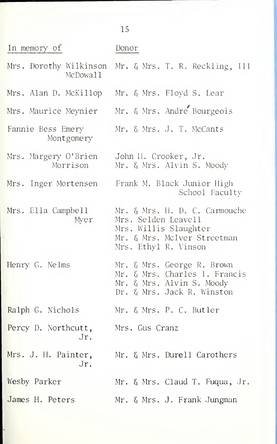| In memory of                                          | Donor                                                                                                                                |
|-------------------------------------------------------|--------------------------------------------------------------------------------------------------------------------------------------|
| McDowall                                              | Mrs. Dorothy Wilkinson Mr. & Mrs. T. R. Reckling, III                                                                                |
|                                                       | Mrs. Alan D. McKillop Mr. & Mrs. Floyd S. Lear                                                                                       |
| Mrs. Maurice Meynier                                  | Mr. & Mrs. Andre Bourgeois                                                                                                           |
| Fannie Bess Emery<br>Montgomery                       | Mr. & Mrs. J. T. McCants                                                                                                             |
| Mrs. Margery O'Brien John H. Crooker, Jr.<br>Morrison | Mr. & Mrs. Alvin S. Moody                                                                                                            |
|                                                       | Mrs. Inger Mortensen Frank M. Black Junior High<br>School Faculty                                                                    |
| Mrs. Ella Campbell<br>Myer                            | Mr. & Mrs. H. D. C. Carmouche<br>Mrs. Selden Leavell<br>Mrs. Willis Slaughter<br>Mr. & Mrs. McIver Streetman<br>Mrs. Ethyl R. Vinson |
| Henry G. Nelms                                        | Mr. & Mrs. George R. Brown<br>Mr. & Mrs. Charles I. Francis<br>Mr. & Mrs. Alvin S. Moody<br>Dr. & Mrs. Jack R. Winston               |
| Ralph G. Nichols                                      | Mr. & Mrs. P. C. Butler                                                                                                              |
| Percy D. Northcutt,<br>Jr.                            | Mrs. Gus Cranz                                                                                                                       |
| Mrs. J. H. Painter,<br>Jr.                            | Mr. & Mrs. Durell Carothers                                                                                                          |
| Wesby Parker                                          | Mr. & Mrs. Claud T. Fuqua, Jr.                                                                                                       |
| James H. Peters                                       | Mr. & Mrs. J. Frank Jungman                                                                                                          |

15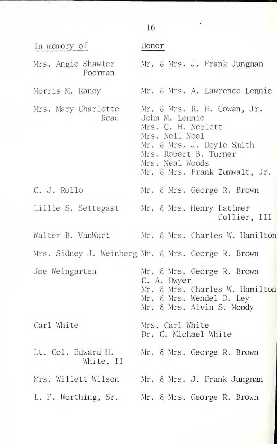|                                 | $\bullet$<br>16                                                                                                                                                                                 |
|---------------------------------|-------------------------------------------------------------------------------------------------------------------------------------------------------------------------------------------------|
| In memory of                    | Donor                                                                                                                                                                                           |
| Mrs. Angie Shawler<br>Poorman   | Mr. & Mrs. J. Frank Jungman                                                                                                                                                                     |
| Morris M. Raney                 | Mr. & Mrs. A. Lawrence Lennie                                                                                                                                                                   |
| Mrs. Mary Charlotte<br>Read     | Mr. & Mrs. R. E. Cowan, Jr.<br>John M. Lennie<br>Mrs. C. H. Neblett<br>Mrs. Nell Noel<br>Mr. & Mrs. J. Doyle Smith<br>Mrs. Robert B. Turner<br>Mrs. Neal Woods<br>Mr. & Mrs. Frank Zumwalt, Jr. |
| C. J. Rollo                     | Mr. & Mrs. George R. Brown                                                                                                                                                                      |
|                                 | Lillie S. Settegast Mr. & Mrs. Henry Latimer<br>Collier, III                                                                                                                                    |
|                                 | Walter B. VanWart Mr. & Mrs. Charles W. Hamilton                                                                                                                                                |
|                                 | Mrs. Sidney J. Weinberg Mr. & Mrs. George R. Brown                                                                                                                                              |
| Joe Weingarten                  | Mr. & Mrs. George R. Brown<br>C. A. Dwyer<br>Mr. & Mrs. Charles W. Hamilton<br>Mr. & Mrs. Wendel D. Ley<br>Mr. & Mrs. Alvin S. Moody                                                            |
| Carl White                      | Mrs. Carl White<br>Dr. C. Michael White                                                                                                                                                         |
| Lt. Col. Edward H.<br>White, II | Mr. & Mrs. George R. Brown                                                                                                                                                                      |
| Mrs. Willett Wilson             | Mr. & Mrs. J. Frank Jungman                                                                                                                                                                     |
| L. F. Worthing, Sr.             | Mr. & Mrs. George R. Brown                                                                                                                                                                      |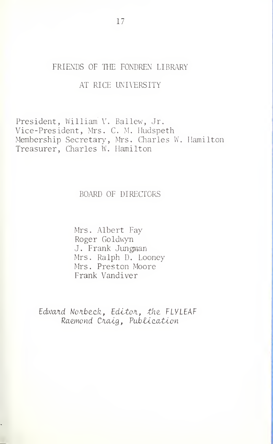#### FRIENDS OF THE FONDREN LIBRARY

### AT RICE UNIVERSITY

President, William Y. Ballew, Jr. Vice-President, Mrs. C. M. Fludspeth Membership Secretary, Mrs. Charles W. Hamilton Treasurer, Charles W. Hamilton

## BOARD OF DIRECTORS

Mrs. Albert Fay Roger Goldwyn J. Frank Jungman Mrs. Ralph D. Looney Mrs. Preston Moore Frank Vandiver

Edward Norbeck, Editor, the FLYLEAF Raemond Craig, Publication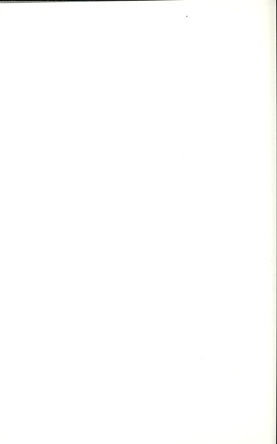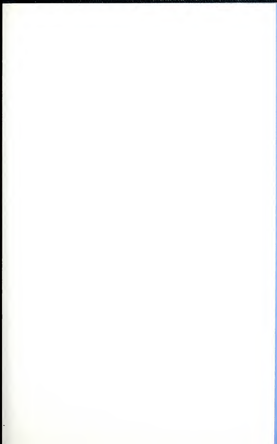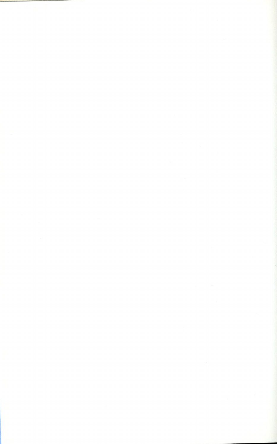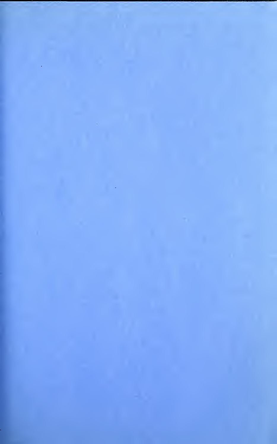